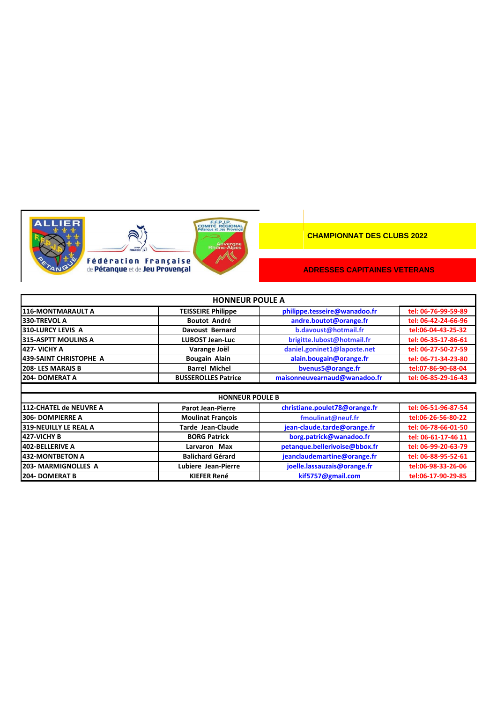



| <b>HONNEUR POULE A</b>        |                            |                               |                     |
|-------------------------------|----------------------------|-------------------------------|---------------------|
| 116-MONTMARAULT A             | <b>TEISSEIRE Philippe</b>  | philippe.tesseire@wanadoo.fr  | tel: 06-76-99-59-89 |
| 330-TREVOL A                  | <b>Boutot André</b>        | andre.boutot@orange.fr        | tel: 06-42-24-66-96 |
| <b>310-LURCY LEVIS A</b>      | <b>Davoust Bernard</b>     | b.davoust@hotmail.fr          | tel:06-04-43-25-32  |
| <b>315-ASPTT MOULINS A</b>    | <b>LUBOST Jean-Luc</b>     | brigitte.lubost@hotmail.fr    | tel: 06-35-17-86-61 |
| 427- VICHY A                  | Varange Joël               | daniel.goninet1@laposte.net   | tel: 06-27-50-27-59 |
| 439-SAINT CHRISTOPHE A        | Bougain Alain              | alain.bougain@orange.fr       | tel: 06-71-34-23-80 |
| 208-LES MARAIS B              | <b>Barrel Michel</b>       | bvenus5@orange.fr             | tel:07-86-90-68-04  |
| 204-DOMERAT A                 | <b>BUSSEROLLES Patrice</b> | maisonneuvearnaud@wanadoo.fr  | tel: 06-85-29-16-43 |
|                               |                            |                               |                     |
|                               | <b>HONNEUR POULE B</b>     |                               |                     |
| <b>112-CHATEL de NEUVRE A</b> | <b>Parot Jean-Pierre</b>   | christiane.poulet78@orange.fr | tel: 06-51-96-87-54 |
| <b>306-DOMPIERRE A</b>        | <b>Moulinat François</b>   | fmoulinat@neuf.fr             | tel:06-26-56-80-22  |
| <b>319-NEUILLY LE REAL A</b>  | <b>Tarde Jean-Claude</b>   | jean-claude.tarde@orange.fr   | tel: 06-78-66-01-50 |
| 427-VICHY B                   | <b>BORG Patrick</b>        | borg.patrick@wanadoo.fr       | tel: 06-61-17-46 11 |
| 402-BELLERIVE A               | Larvaron Max               | petanque.bellerivoise@bbox.fr | tel: 06-99-20-63-79 |
| <b>432-MONTBETON A</b>        | <b>Balichard Gérard</b>    | jeanclaudemartine@orange.fr   | tel: 06-88-95-52-61 |
| 203- MARMIGNOLLES A           | Lubiere Jean-Pierre        | joelle.lassauzais@orange.fr   | tel:06-98-33-26-06  |
| 204-DOMERAT B                 | <b>KIEFER René</b>         | kif5757@gmail.com             | tel:06-17-90-29-85  |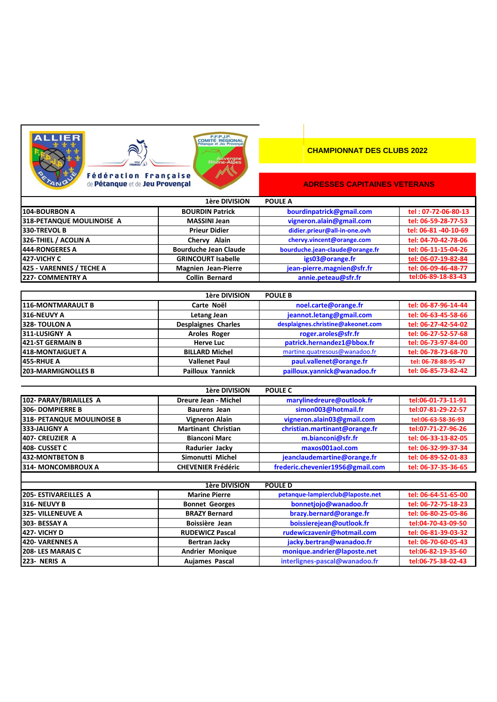





#### **CHAMPIONNAT DES CLUBS 2022**

|                           | 1ère DIVISION                | <b>POULE A</b>                  |                      |
|---------------------------|------------------------------|---------------------------------|----------------------|
| <b>104-BOURBON A</b>      | <b>BOURDIN Patrick</b>       | bourdinpatrick@gmail.com        | tel: 07-72-06-80-13  |
| 318-PETANQUE MOULINOISE A | <b>MASSINI Jean</b>          | vigneron.alain@gmail.com        | tel: 06-59-28-77-53  |
| 330-TREVOL B              | <b>Prieur Didier</b>         | didier.prieur@all-in-one.ovh    | tel: 06-81 -40-10-69 |
| 326-THIEL / ACOLIN A      | Chervy Alain                 | chervy.vincent@orange.com       | tel: 04-70-42-78-06  |
| <b>444-RONGERES A</b>     | <b>Bourduche Jean Claude</b> | bourduche.jean-claude@orange.fr | tel: 06-11-15-04-26  |
| 427-VICHY C               | <b>GRINCOURT Isabelle</b>    | igs03@orange.fr                 | tel: 06-07-19-82-84  |
| 425 - VARENNES / TECHE A  | <b>Magnien Jean-Pierre</b>   | jean-pierre.magnien@sfr.fr      | tel: 06-09-46-48-77  |
| <b>227- COMMENTRY A</b>   | <b>Collin Bernard</b>        | annie.peteau@sfr.fr             | tel:06-89-18-83-43   |

| 1ère DIVISION<br><b>POULE B</b> |                            |                                   |                     |  |
|---------------------------------|----------------------------|-----------------------------------|---------------------|--|
| <b>116-MONTMARAULT B</b>        | Carte Noël                 | noel.carte@orange.fr              | tel: 06-87-96-14-44 |  |
| 316-NEUVY A                     | Letang Jean                | jeannot.letang@gmail.com          | tel: 06-63-45-58-66 |  |
| 328-TOULON A                    | <b>Desplaignes Charles</b> | desplaignes.christine@akeonet.com | tel: 06-27-42-54-02 |  |
| <b>311-LUSIGNY A</b>            | <b>Aroles Roger</b>        | roger.aroles@sfr.fr               | tel: 06-27-52-57-68 |  |
| 421-ST GERMAIN B                | <b>Herve Luc</b>           | patrick.hernandez1@bbox.fr        | tel: 06-73-97-84-00 |  |
| <b>418-MONTAIGUET A</b>         | <b>BILLARD Michel</b>      | martine.quatresous@wanadoo.fr     | tel: 06-78-73-68-70 |  |
| <b>455-RHUE A</b>               | <b>Vallenet Paul</b>       | paul.vallenet@orange.fr           | tel: 06-78-88-95-47 |  |
| <b>203-MARMIGNOLLES B</b>       | <b>Pailloux Yannick</b>    | pailloux.yannick@wanadoo.fr       | tel: 06-85-73-82-42 |  |

|                            | 1ère DIVISION              | <b>POULE C</b>                   |                     |
|----------------------------|----------------------------|----------------------------------|---------------------|
| 102- PARAY/BRIAILLES A     | Dreure Jean - Michel       | marylinedreure@outlook.fr        | tel:06-01-73-11-91  |
| 306-DOMPIERRE B            | <b>Baurens Jean</b>        | simon003@hotmail.fr              | tel:07-81-29-22-57  |
| 318- PETANQUE MOULINOISE B | <b>Vigneron Alain</b>      | vigneron.alain03@gmail.com       | tel:06-63-58-36-93  |
| 333-JALIGNY A              | <b>Martinant Christian</b> | christian.martinant@orange.fr    | tel:07-71-27-96-26  |
| 407- CREUZIER A            | <b>Bianconi Marc</b>       | m.bianconi@sfr.fr                | tel: 06-33-13-82-05 |
| 408- CUSSET C              | Radurier Jacky             | maxos001aol.com                  | tel: 06-32-99-37-34 |
| 432-MONTBETON B            | Simonutti Michel           | jeanclaudemartine@orange.fr      | tel: 06-89-52-01-83 |
| 314- MONCOMBROUX A         | <b>CHEVENIER Frédéric</b>  | frederic.chevenier1956@gmail.com | tel: 06-37-35-36-65 |

| 1ère DIVISION<br><b>POULE D</b> |                        |                                  |                     |  |
|---------------------------------|------------------------|----------------------------------|---------------------|--|
| <b>205-ESTIVAREILLES A</b>      | <b>Marine Pierre</b>   | petanque-lampierclub@laposte.net | tel: 06-64-51-65-00 |  |
| 316-NEUVY B                     | <b>Bonnet Georges</b>  | bonnetjojo@wanadoo.fr            | tel: 06-72-75-18-23 |  |
| <b>325- VILLENEUVE A</b>        | <b>BRAZY Bernard</b>   | brazy.bernard@orange.fr          | tel: 06-80-25-05-86 |  |
| 303- BESSAY A                   | Boissière Jean         | boissierejean@outlook.fr         | tel:04-70-43-09-50  |  |
| <b>427- VICHY D</b>             | <b>RUDEWICZ Pascal</b> | rudewiczavenir@hotmail.com       | tel: 06-81-39-03-32 |  |
| <b>420- VARENNES A</b>          | Bertran Jacky          | jacky.bertran@wanadoo.fr         | tel: 06-70-60-05-43 |  |
| <b>208-LES MARAIS C</b>         | <b>Andrier Monique</b> | monique.andrier@laposte.net      | tel:06-82-19-35-60  |  |
| 223- NERIS A                    | <b>Aujames Pascal</b>  | interlignes-pascal@wanadoo.fr    | tel:06-75-38-02-43  |  |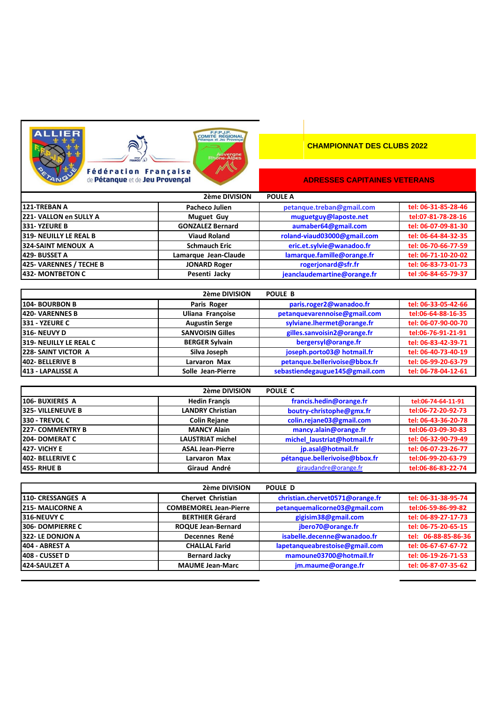





|                         | 2ème DIVISION           | <b>POULE A</b>              |                     |
|-------------------------|-------------------------|-----------------------------|---------------------|
| 121-TREBAN A            | Pacheco Julien          | petanque.treban@gmail.com   | tel: 06-31-85-28-46 |
| 221- VALLON en SULLY A  | <b>Muguet Guy</b>       | muguetguy@laposte.net       | tel:07-81-78-28-16  |
| <b>331-YZEURE B</b>     | <b>GONZALEZ Bernard</b> | aumaber64@gmail.com         | tel: 06-07-09-81-30 |
| 319- NEUILLY LE REAL B  | <b>Viaud Roland</b>     | roland-viaud03000@gmail.com | tel: 06-64-84-32-35 |
| 324-SAINT MENOUX A      | <b>Schmauch Eric</b>    | eric.et.sylvie@wanadoo.fr   | tel: 06-70-66-77-59 |
| 429- BUSSET A           | Lamarque Jean-Claude    | lamarque.famille@orange.fr  | tel: 06-71-10-20-02 |
| 425- VARENNES / TECHE B | <b>JONARD Roger</b>     | rogerjonard@sfr.fr          | tel: 06-83-73-01-73 |
| 432- MONTBETON C        | Pesenti Jacky           | jeanclaudemartine@orange.fr | tel: 06-84-65-79-37 |

|                            | 2ème DIVISION           | POULE B                        |                     |
|----------------------------|-------------------------|--------------------------------|---------------------|
| 104- BOURBON B             | Paris Roger             | paris.roger2@wanadoo.fr        | tel: 06-33-05-42-66 |
| 420- VARENNES B            | <b>Uliana Francoise</b> | petanquevarennoise@gmail.com   | tel:06-64-88-16-35  |
| 331 - YZEURE C             | <b>Augustin Serge</b>   | sylviane.lhermet@orange.fr     | tel: 06-07-90-00-70 |
| 316-NEUVY D                | <b>SANVOISIN Gilles</b> | gilles.sanvoisin2@orange.fr    | tel:06-76-91-21-91  |
| 319- NEUILLY LE REAL C     | <b>BERGER Sylvain</b>   | bergersyl@orange.fr            | tel: 06-83-42-39-71 |
| <b>228- SAINT VICTOR A</b> | Silva Joseph            | joseph.porto03@ hotmail.fr     | tel: 06-40-73-40-19 |
| 402- BELLERIVE B           | Larvaron Max            | petanque.bellerivoise@bbox.fr  | tel: 06-99-20-63-79 |
| 413 - LAPALISSE A          | Solle Jean-Pierre       | sebastiendegaugue145@gmail.com | tel: 06-78-04-12-61 |

|                     | 2ème DIVISION           | POULE C                       |                     |
|---------------------|-------------------------|-------------------------------|---------------------|
| 106- BUXIERES A     | <b>Hedin Francis</b>    | francis.hedin@orange.fr       | tel:06-74-64-11-91  |
| 325- VILLENEUVE B   | <b>LANDRY Christian</b> | boutry-christophe@gmx.fr      | tel:06-72-20-92-73  |
| 330 - TREVOL C      | <b>Colin Rejane</b>     | colin.rejane03@gmail.com      | tel: 06-43-36-20-78 |
| 227- COMMENTRY B    | <b>MANCY Alain</b>      | mancy.alain@orange.fr         | tel:06-03-09-30-83  |
| 204-DOMERAT C       | <b>LAUSTRIAT michel</b> | michel laustriat@hotmail.fr   | tel: 06-32-90-79-49 |
| <b>427- VICHY E</b> | <b>ASAL Jean-Pierre</b> | jp.asal@hotmail.fr            | tel: 06-07-23-26-77 |
| 402- BELLERIVE C    | Larvaron Max            | pétanque.bellerivoise@bbox.fr | tel:06-99-20-63-79  |
| <b>455-RHUE B</b>   | Giraud André            | giraudandre@orange.fr         | tel:06-86-83-22-74  |

|                          | 2ème DIVISION                 | POULE D                         |                     |
|--------------------------|-------------------------------|---------------------------------|---------------------|
| <b>110- CRESSANGES A</b> | <b>Chervet Christian</b>      | christian.chervet0571@orange.fr | tel: 06-31-38-95-74 |
| <b>215-MALICORNE A</b>   | <b>COMBEMOREL Jean-Pierre</b> | petanquemalicorne03@gmail.com   | tel:06-59-86-99-82  |
| 316-NEUVY C              | <b>BERTHIER Gérard</b>        | gigisim38@gmail.com             | tel: 06-89-27-17-73 |
| 306-DOMPIERRE C          | <b>ROQUE Jean-Bernard</b>     | jbero70@orange.fr               | tel: 06-75-20-65-15 |
| 322-LE DONJON A          | Decennes René                 | isabelle.decenne@wanadoo.fr     | tel: 06-88-85-86-36 |
| 404 - ABREST A           | <b>CHALLAL Farid</b>          | lapetanqueabrestoise@gmail.com  | tel: 06-67-67-67-72 |
| 1408 - CUSSET D          | <b>Bernard Jacky</b>          | mamoune03700@hotmail.fr         | tel: 06-19-26-71-53 |
| <b>424-SAULZET A</b>     | <b>MAUME Jean-Marc</b>        | jm.maume@orange.fr              | tel: 06-87-07-35-62 |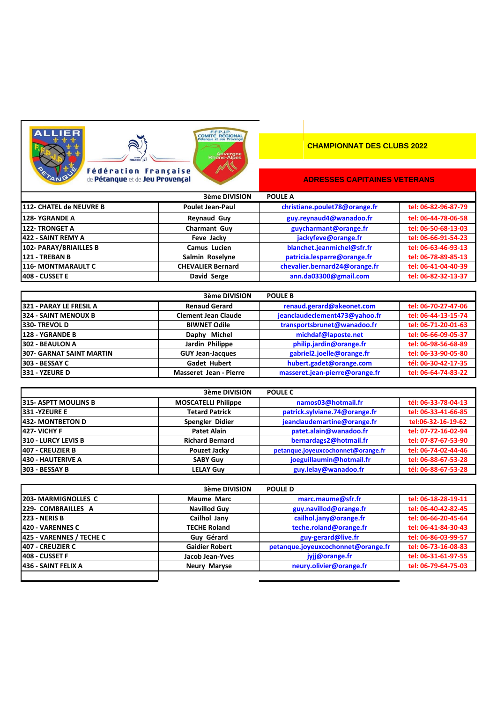



## **CHAMPIONNAT DES CLUBS 2022**

## **ADRESSES CAPITAINES VETERANS**

|                           | 3ème DIVISION            | <b>POULE A</b>                |                     |
|---------------------------|--------------------------|-------------------------------|---------------------|
| 1112- CHATEL de NEUVRE B  | <b>Poulet Jean-Paul</b>  | christiane.poulet78@orange.fr | tel: 06-82-96-87-79 |
| <b>128-YGRANDE A</b>      | <b>Reynaud Guy</b>       | guy.reynaud4@wanadoo.fr       | tel: 06-44-78-06-58 |
| <b>122- TRONGET A</b>     | <b>Charmant Guv</b>      | guycharmant@orange.fr         | tel: 06-50-68-13-03 |
| <b>422 - SAINT REMY A</b> | Feve Jacky               | jackyfeve@orange.fr           | tel: 06-66-91-54-23 |
| 102- PARAY/BRIAILLES B    | Camus Lucien             | blanchet.jeanmichel@sfr.fr    | tel: 06-63-46-93-13 |
| 121 - TREBAN B            | Salmin Roselyne          | patricia.lesparre@orange.fr   | tel: 06-78-89-85-13 |
| <b>116- MONTMARAULT C</b> | <b>CHEVALIER Bernard</b> | chevalier.bernard24@orange.fr | tel: 06-41-04-40-39 |
| 408 - CUSSET E            | David Serge              | ann.da03300@gmail.com         | tel: 06-82-32-13-37 |

<u>ergr</u>

|                          | 3ème DIVISION                 | <b>POULE B</b>                 |                     |
|--------------------------|-------------------------------|--------------------------------|---------------------|
| 321 - PARAY LE FRESIL A  | <b>Renaud Gerard</b>          | renaud.gerard@akeonet.com      | tel: 06-70-27-47-06 |
| 324 - SAINT MENOUX B     | <b>Clement Jean Claude</b>    | jeanclaudeclement473@yahoo.fr  | tel: 06-44-13-15-74 |
| 330-TREVOLD              | <b>BIWNET Odile</b>           | transportsbrunet@wanadoo.fr    | tel: 06-71-20-01-63 |
| <b>128 - YGRANDE B</b>   | Daphy Michel                  | michdaf@laposte.net            | tel: 06-66-09-05-37 |
| 302 - BEAULON A          | Jardin Philippe               | philip.jardin@orange.fr        | tel: 06-98-56-68-89 |
| 307- GARNAT SAINT MARTIN | <b>GUY Jean-Jacques</b>       | gabriel2.joelle@orange.fr      | tel: 06-33-90-05-80 |
| 303 - BESSAY C           | <b>Gadet Hubert</b>           | hubert.gadet@orange.com        | tél: 06-30-42-17-35 |
| 331 - YZEURE D           | <b>Masseret Jean - Pierre</b> | masseret.jean-pierre@orange.fr | tel: 06-64-74-83-22 |

|                            | <b>3ème DIVISION</b>       | <b>POULE C</b>                     |                     |
|----------------------------|----------------------------|------------------------------------|---------------------|
| 315- ASPTT MOULINS B       | <b>MOSCATELLI Philippe</b> | namos03@hotmail.fr                 | tél: 06-33-78-04-13 |
| <b>1331 -YZEURE E</b>      | <b>Tetard Patrick</b>      | patrick.sylviane.74@orange.fr      | tel: 06-33-41-66-85 |
| <b>432- MONTBETON D</b>    | Spengler Didier            | jeanclaudemartine@orange.fr        | tel:06-32-16-19-62  |
| <b>427- VICHY F</b>        | <b>Patet Alain</b>         | patet.alain@wanadoo.fr             | tel: 07-72-16-02-94 |
| <b>310 - LURCY LEVIS B</b> | <b>Richard Bernard</b>     | bernardags2@hotmail.fr             | tel: 07-87-67-53-90 |
| 407 - CREUZIER B           | Pouzet Jacky               | petanque.joyeuxcochonnet@orange.fr | tel: 06-74-02-44-46 |
| <b>430 - HAUTERIVE A</b>   | <b>SABY Guy</b>            | joeguillaumin@hotmail.fr           | tel: 06-88-67-53-28 |
| 303 - BESSAY B             | <b>LELAY Guy</b>           | guy.lelay@wanadoo.fr               | tél: 06-88-67-53-28 |

| <b>3ème DIVISION</b><br><b>POULE D</b> |                       |                                    |                     |
|----------------------------------------|-----------------------|------------------------------------|---------------------|
| <b>203-MARMIGNOLLES C</b>              | <b>Maume Marc</b>     | marc.maume@sfr.fr                  | tel: 06-18-28-19-11 |
| 229- COMBRAILLES A                     | <b>Navillod Guy</b>   | guy.navillod@orange.fr             | tel: 06-40-42-82-45 |
| <b>223 - NERIS B</b>                   | Cailhol Jany          | cailhol.jany@orange.fr             | tel: 06-66-20-45-64 |
| <b>1420 - VARENNES C</b>               | <b>TECHE Roland</b>   | teche.roland@orange.fr             | tel: 06-41-84-30-43 |
| 425 - VARENNES / TECHE C               | Guy Gérard            | guy-gerard@live.fr                 | tel: 06-86-03-99-57 |
| 407 - CREUZIER C                       | <b>Gaidier Robert</b> | petanque.joyeuxcochonnet@orange.fr | tel: 06-73-16-08-83 |
| 408 - CUSSET F                         | Jacob Jean-Yves       | jyjj@orange.fr                     | tel: 06-31-61-97-55 |
| <b>1436 - SAINT FELIX A</b>            | <b>Neury Maryse</b>   | neury.olivier@orange.fr            | tel: 06-79-64-75-03 |
|                                        |                       |                                    |                     |